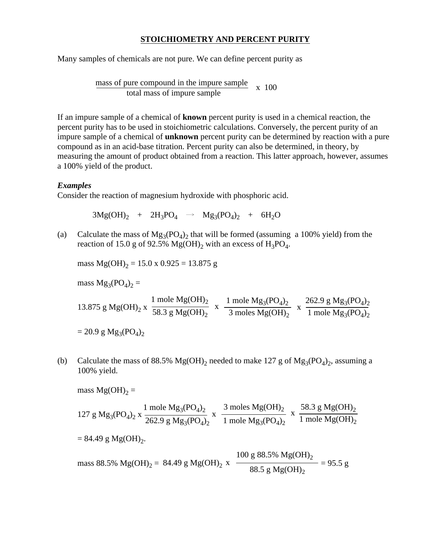## **STOICHIOMETRY AND PERCENT PURITY**

Many samples of chemicals are not pure. We can define percent purity as

mass of pure compound in the impure sample  $\frac{\text{total}}{\text{total mass of impure sample}}$  x 100

If an impure sample of a chemical of **known** percent purity is used in a chemical reaction, the percent purity has to be used in stoichiometric calculations. Conversely, the percent purity of an impure sample of a chemical of **unknown** percent purity can be determined by reaction with a pure compound as in an acid-base titration. Percent purity can also be determined, in theory, by measuring the amount of product obtained from a reaction. This latter approach, however, assumes a 100% yield of the product.

## *Examples*

Consider the reaction of magnesium hydroxide with phosphoric acid.

 $3Mg(OH)_2$  +  $2H_3PO_4$   $\rightarrow$   $Mg_3(PO_4)_2$  +  $6H_2O$ 

(a) Calculate the mass of  $Mg_3(PO_4)_2$  that will be formed (assuming a 100% yield) from the reaction of 15.0 g of 92.5% Mg(OH)<sub>2</sub> with an excess of H<sub>3</sub>PO<sub>4</sub>.

mass  $Mg(OH)<sub>2</sub> = 15.0 x 0.925 = 13.875 g$ 

mass  $Mg_3(PO_4)_2 =$ 

13.875 g Mg(OH)<sub>2</sub> x 
$$
\frac{1 \text{ mole Mg(OH)}_2}{58.3 \text{ g Mg(OH)}_2}
$$
 x  $\frac{1 \text{ mole Mg}_3(PO_4)_2}{3 \text{ moles Mg(OH)}_2}$  x  $\frac{262.9 \text{ g Mg}_3(PO_4)_2}{1 \text{ mole Mg}_3(PO_4)_2}$   
= 20.9 g Mg<sub>3</sub>(PO<sub>4</sub>)<sub>2</sub>

(b) Calculate the mass of 88.5% Mg(OH)<sub>2</sub> needed to make 127 g of Mg<sub>3</sub>(PO<sub>4</sub>)<sub>2</sub>, assuming a 100% yield.

mass Mg(OH)<sub>2</sub> =  
\n127 g Mg<sub>3</sub>(PO<sub>4</sub>)<sub>2</sub> x 
$$
\frac{1 \text{ mole Mg3(PO4)2}{262.9 g Mg3(PO4)2}
$$
 x  $\frac{3 \text{ moles Mg(OH)}2}{1 \text{ mole Mg3(PO4)2}}$  x  $\frac{58.3 g Mg(OH)2}{1 \text{ mole Mg(OH)}2}$   
\n= 84.49 g Mg(OH)<sub>2</sub>.  
\nmass 88.5% Mg(OH)<sub>2</sub> = 84.49 g Mg(OH)<sub>2</sub> x  $\frac{100 g 88.5\% Mg(OH)2}{88.5 g Mg(OH)2}$  = 95.5 g